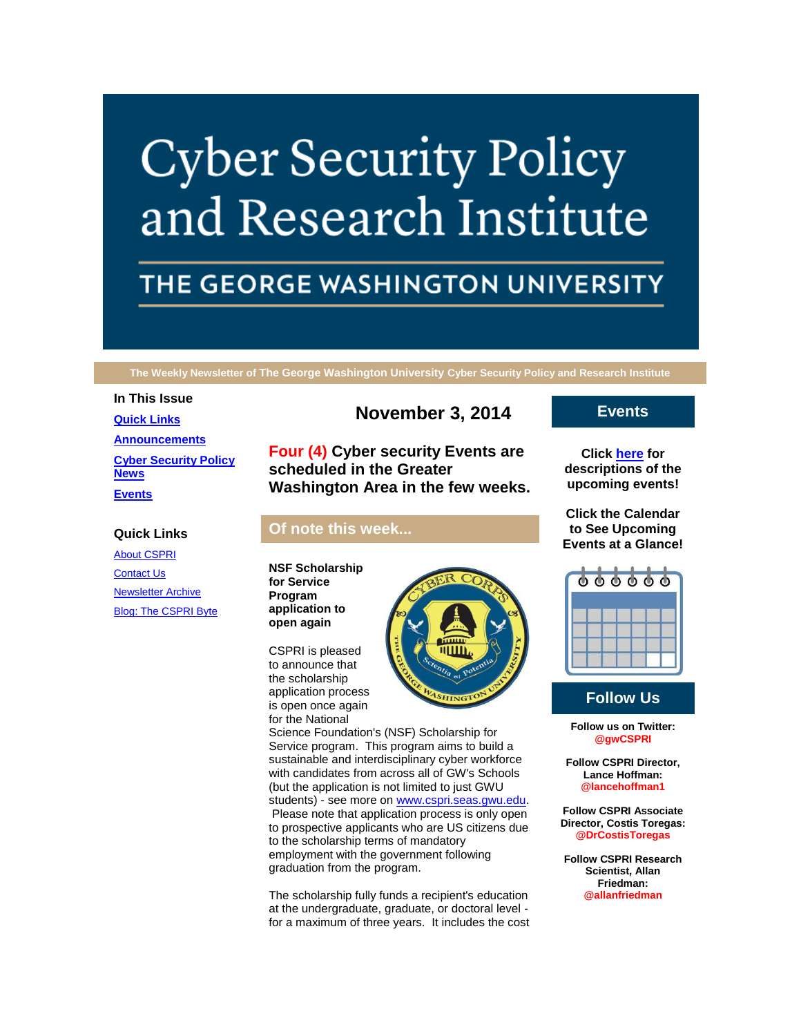# **Cyber Security Policy** and Research Institute

# THE GEORGE WASHINGTON UNIVERSITY

**The Weekly Newsletter of The George Washington University Cyber Security Policy and Research Institute**

### **In This Issue**

**Quick Links** [About CSPRI](http://r20.rs6.net/tn.jsp?f=001qnQ_hP4RQImWeMM0Kuz-acjcExJuIUiGK7gUjjabC1kH2LC6G5v9nBtZMj6Bit7GHQPqhN_-MaG9lUKfYre8PNUnT_7ftIeZkHKFA0J_B9NCTv8TtTDib9KLlFn6o5OBIKNyeleFeBCusbdTmhLkY0d5hgiV4mqwex8cslABx40pv5inEOc9a3CITXysTGCm&c=yZT8boEELfPTARzDiewh7jprf9-5iH5kqqnSpqISy_kBUWUQ1JCEuw==&ch=vfkHntY7lcddWW73LOYZGNiwaWZmK8X5RWWCi0N7HjxvS-vEwtBwGg==) [Contact Us](http://r20.rs6.net/tn.jsp?f=001qnQ_hP4RQImWeMM0Kuz-acjcExJuIUiGK7gUjjabC1kH2LC6G5v9nBtZMj6Bit7GFwTZu6S8dHz0vlA4Uw4mafWs1p3bcb4yXW4mgzNwSNBayFPG6MAHsJ0U8yPC02T5r8kq-j6WHaBVFhOOfIkIqppD-kGq3Gu0ShTYbNg8qBE6W8q7fwJ0Fn5AyZOolz-YypY7tWijbfk=&c=yZT8boEELfPTARzDiewh7jprf9-5iH5kqqnSpqISy_kBUWUQ1JCEuw==&ch=vfkHntY7lcddWW73LOYZGNiwaWZmK8X5RWWCi0N7HjxvS-vEwtBwGg==)

[Newsletter Archive](http://r20.rs6.net/tn.jsp?f=001qnQ_hP4RQImWeMM0Kuz-acjcExJuIUiGK7gUjjabC1kH2LC6G5v9nBtZMj6Bit7GJFfFsBmYEOETVTo8tNdoF03uhdNd11vp4_sKwHi5oPhHgic10MUPo0ZGkTOHM3wOa_-Bh_E2w48tc-PM82zYBd-H0_7eCdiL4fNm5v4mz8kaNJZA7W2yUWlTkwuNDJYud4dbd2-Wcfk=&c=yZT8boEELfPTARzDiewh7jprf9-5iH5kqqnSpqISy_kBUWUQ1JCEuw==&ch=vfkHntY7lcddWW73LOYZGNiwaWZmK8X5RWWCi0N7HjxvS-vEwtBwGg==) [Blog: The CSPRI Byte](http://r20.rs6.net/tn.jsp?f=001qnQ_hP4RQImWeMM0Kuz-acjcExJuIUiGK7gUjjabC1kH2LC6G5v9nBtZMj6Bit7GHs2ULDu9GPbsF41LhQjVmhtY5mbf-DS_ap8fWQxvzV0XZ8ZhOCNxT4BVFsS4-WuTwOJm03DwdPpSpNWU4dS_eueC0pQHtsW3TohEtpYVEQxbTQtScnIohyEKAlkqMbnB&c=yZT8boEELfPTARzDiewh7jprf9-5iH5kqqnSpqISy_kBUWUQ1JCEuw==&ch=vfkHntY7lcddWW73LOYZGNiwaWZmK8X5RWWCi0N7HjxvS-vEwtBwGg==)

**[Quick Links](https://mail.google.com/mail/u/0/#14977372351e89e3_LETTER.BLOCK5) [Announcements](https://mail.google.com/mail/u/0/#14977372351e89e3_LETTER.BLOCK26) [Cyber Security Policy](https://mail.google.com/mail/u/0/#14977372351e89e3_LETTER.BLOCK53)  [News](https://mail.google.com/mail/u/0/#14977372351e89e3_LETTER.BLOCK53) [Events](https://mail.google.com/mail/u/0/#14977372351e89e3_LETTER.BLOCK30)**

# **November 3, 2014**

**Four (4) Cyber security Events are scheduled in the Greater Washington Area in the few weeks.**

# **Of note this week...**

**NSF Scholarship for Service Program application to open again**

CSPRI is pleased to announce that the scholarship application process is open once again for the National



Science Foundation's (NSF) Scholarship for Service program. This program aims to build a sustainable and interdisciplinary cyber workforce with candidates from across all of GW's Schools (but the application is not limited to just GWU students) - see more on [www.cspri.seas.gwu.edu.](http://r20.rs6.net/tn.jsp?f=001qnQ_hP4RQImWeMM0Kuz-acjcExJuIUiGK7gUjjabC1kH2LC6G5v9nAEqP-C9YVbRDLOvRCH859MIfhwoLtn5tp0ZUo4YaSuPdb7wGtJHnmrzpLEpG7W9Zgy4cBxlGq4kFQ6Omu6hQXHKubqAqqr3t3D3Imln1JMm3_bdGci21GI-zXxBjDzylA==&c=yZT8boEELfPTARzDiewh7jprf9-5iH5kqqnSpqISy_kBUWUQ1JCEuw==&ch=vfkHntY7lcddWW73LOYZGNiwaWZmK8X5RWWCi0N7HjxvS-vEwtBwGg==) Please note that application process is only open to prospective applicants who are US citizens due to the scholarship terms of mandatory employment with the government following graduation from the program.

The scholarship fully funds a recipient's education at the undergraduate, graduate, or doctoral level for a maximum of three years. It includes the cost

# **Events**

**Click [here](http://r20.rs6.net/tn.jsp?f=001qnQ_hP4RQImWeMM0Kuz-acjcExJuIUiGK7gUjjabC1kH2LC6G5v9nBtZMj6Bit7GO6yAGbzrREtX9dvAjx0rDdRvaCw0Kxw13CbdMYXTx7Bt91nhubNiexBDEAB4uaHLT7XstrCkd9rmm34caxMkusFD6OCSHg36bRNYHeYFtOSaaPmFKivmM0odRTJwckIIRdBakXcWYbLRPYsD1Q_p0A==&c=yZT8boEELfPTARzDiewh7jprf9-5iH5kqqnSpqISy_kBUWUQ1JCEuw==&ch=vfkHntY7lcddWW73LOYZGNiwaWZmK8X5RWWCi0N7HjxvS-vEwtBwGg==) for descriptions of the upcoming events!**

**Click the Calendar to See Upcoming Events at a Glance!**



# **Follow Us**

**Follow us on Twitter: @gwCSPRI**

**Follow CSPRI Director, Lance Hoffman: @lancehoffman1**

**Follow CSPRI Associate Director, Costis Toregas: @DrCostisToregas**

**Follow CSPRI Research Scientist, Allan Friedman: @allanfriedman**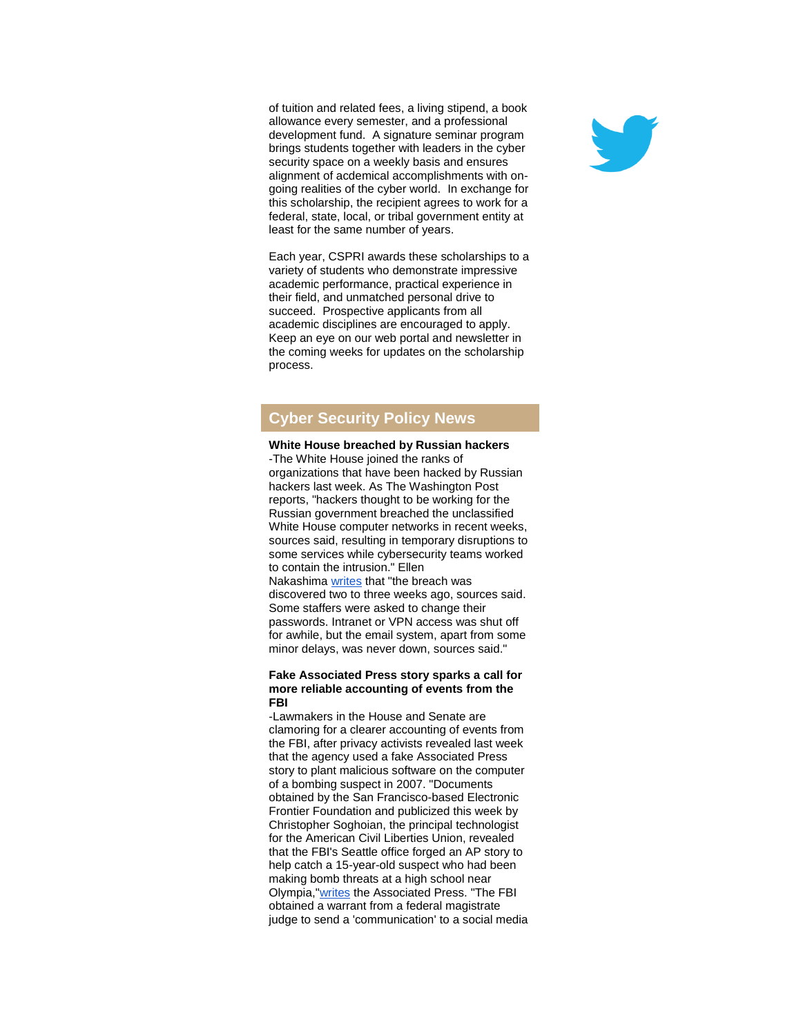of tuition and related fees, a living stipend, a book allowance every semester, and a professional development fund. A signature seminar program brings students together with leaders in the cyber security space on a weekly basis and ensures alignment of acdemical accomplishments with ongoing realities of the cyber world. In exchange for this scholarship, the recipient agrees to work for a federal, state, local, or tribal government entity at least for the same number of years.

Each year, CSPRI awards these scholarships to a variety of students who demonstrate impressive academic performance, practical experience in their field, and unmatched personal drive to succeed. Prospective applicants from all academic disciplines are encouraged to apply. Keep an eye on our web portal and newsletter in the coming weeks for updates on the scholarship process.

# **Cyber Security Policy News**

#### **White House breached by Russian hackers**

-The White House joined the ranks of organizations that have been hacked by Russian hackers last week. As The Washington Post reports, "hackers thought to be working for the Russian government breached the unclassified White House computer networks in recent weeks, sources said, resulting in temporary disruptions to some services while cybersecurity teams worked to contain the intrusion." Ellen Nakashima [writes](http://r20.rs6.net/tn.jsp?f=001qnQ_hP4RQImWeMM0Kuz-acjcExJuIUiGK7gUjjabC1kH2LC6G5v9nDgyJBLFCDIb5o0O0wc5vg8xxs-GwgY17OAHduGKJB30K6zqxiTAQB2qMcCAGstIGZRQjheZ0cZo_lQ8LK5BQSUIje-3naEXwBBJ8PY0FGU-8kKp5DlQAQxUbQZoIJLDSMlb3bwEu8iFBUfFY_19yeD9ZbxxGoiTiTiVG4EUhlJwrPU6TDGTxc2MRS4jsbrGJXPpQWd6AYrkUKg5I3B3dUvN6PBptfoPAziAbpMZMWN6ogQMn9kSqgi8OGK9MFJ6wpZFy2oR9qFTflrXSURvdIDJ7yIPthRP9XBTw_BFWDI4bTz_QOFKD-A=&c=yZT8boEELfPTARzDiewh7jprf9-5iH5kqqnSpqISy_kBUWUQ1JCEuw==&ch=vfkHntY7lcddWW73LOYZGNiwaWZmK8X5RWWCi0N7HjxvS-vEwtBwGg==) that "the breach was discovered two to three weeks ago, sources said. Some staffers were asked to change their passwords. Intranet or VPN access was shut off for awhile, but the email system, apart from some minor delays, was never down, sources said."

#### **Fake Associated Press story sparks a call for more reliable accounting of events from the FBI**

-Lawmakers in the House and Senate are clamoring for a clearer accounting of events from the FBI, after privacy activists revealed last week that the agency used a fake Associated Press story to plant malicious software on the computer of a bombing suspect in 2007. "Documents obtained by the San Francisco-based Electronic Frontier Foundation and publicized this week by Christopher Soghoian, the principal technologist for the American Civil Liberties Union, revealed that the FBI's Seattle office forged an AP story to help catch a 15-year-old suspect who had been making bomb threats at a high school near Olympia,["writes](http://r20.rs6.net/tn.jsp?f=001qnQ_hP4RQImWeMM0Kuz-acjcExJuIUiGK7gUjjabC1kH2LC6G5v9nDgyJBLFCDIbPKxLytqlMAFwF5brUa1j8qRx2s1SMiVc0RYQ0HDapc8Rqt259TtSq22O29vWMksUL_wzaOZTBJa5GYLrMH0UWIPDsPw5BDU4IUU6wVfeyCk4x6B44hk7dr5RbAOXccfZ_eNCOu9K6QfoWewYAJTbYn23_uwqxAWdve-ixZMC_od5y4-qkRvXA3Lqfzo5IDDHXIu3-2FpU_R0VurN2rYoRbsWDA8_LnpRIfqhFnKClp8=&c=yZT8boEELfPTARzDiewh7jprf9-5iH5kqqnSpqISy_kBUWUQ1JCEuw==&ch=vfkHntY7lcddWW73LOYZGNiwaWZmK8X5RWWCi0N7HjxvS-vEwtBwGg==) the Associated Press. "The FBI obtained a warrant from a federal magistrate judge to send a 'communication' to a social media

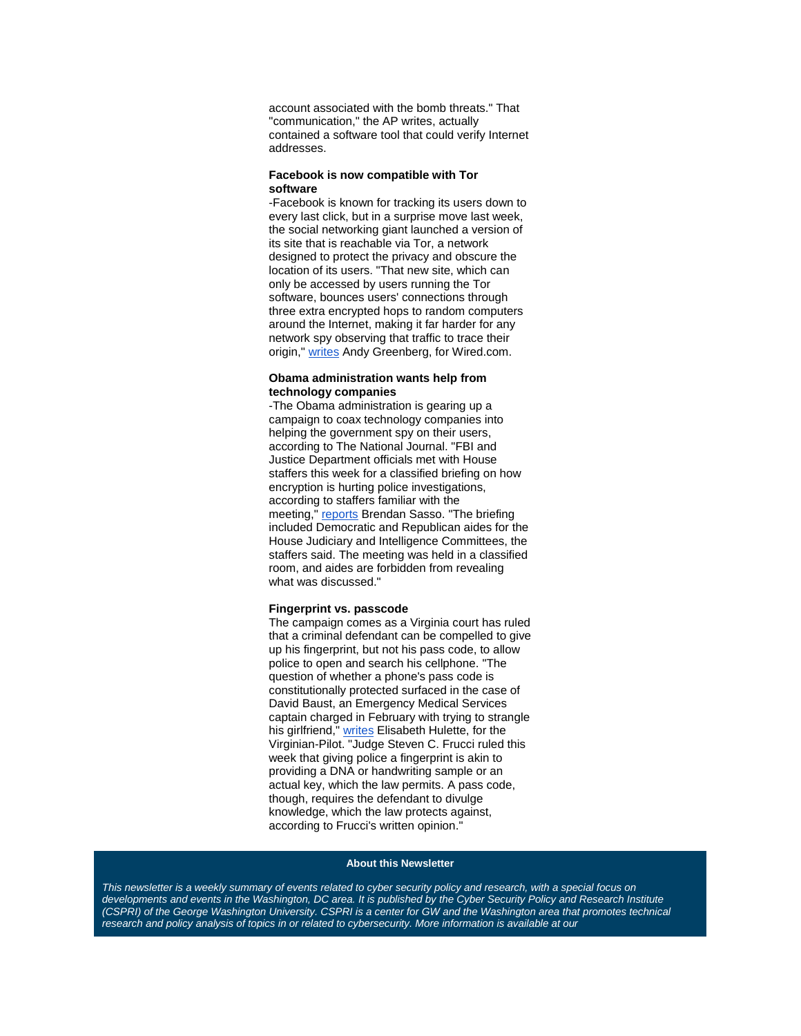account associated with the bomb threats." That "communication," the AP writes, actually contained a software tool that could verify Internet addresses.

#### **Facebook is now compatible with Tor software**

-Facebook is known for tracking its users down to every last click, but in a surprise move last week, the social networking giant launched a version of its site that is reachable via Tor, a network designed to protect the privacy and obscure the location of its users. "That new site, which can only be accessed by users running the Tor software, bounces users' connections through three extra encrypted hops to random computers around the Internet, making it far harder for any network spy observing that traffic to trace their origin," [writes](http://r20.rs6.net/tn.jsp?f=001qnQ_hP4RQImWeMM0Kuz-acjcExJuIUiGK7gUjjabC1kH2LC6G5v9nDgyJBLFCDIb38qaiASnvKV_UiMH1ucF8aiqGhQiw5_GsBhCQo1DTsrkw6_al3vlql9KMvOyMgEJEA4lEwe29t3i2b8fdjzuLsEQnz4TKAjuIjoJqxxXQ_h5m-_EXd0t9b9fq6y3FP1vq7mvrc_l0Dbze-wLj4wImBbKS0Zk_KxS&c=yZT8boEELfPTARzDiewh7jprf9-5iH5kqqnSpqISy_kBUWUQ1JCEuw==&ch=vfkHntY7lcddWW73LOYZGNiwaWZmK8X5RWWCi0N7HjxvS-vEwtBwGg==) Andy Greenberg, for Wired.com.

## **Obama administration wants help from technology companies**

-The Obama administration is gearing up a campaign to coax technology companies into helping the government spy on their users, according to The National Journal. "FBI and Justice Department officials met with House staffers this week for a classified briefing on how encryption is hurting police investigations, according to staffers familiar with the meeting," [reports](http://r20.rs6.net/tn.jsp?f=001qnQ_hP4RQImWeMM0Kuz-acjcExJuIUiGK7gUjjabC1kH2LC6G5v9nDgyJBLFCDIbSIIWJiznImotdtlXFAA9LWv5QPs8DwvwjQB7ueJqVf61ndwweN2VnvhJTI5pjbq_8fcVUBmXr9GI0bwdTI-otLSaDB_4JM2hOwjQS_XYxF1od9PEaLwmpyMrULmi8DGGuHB0BGLOY_f19bRMl0Yk4MNbj2FhU35ardEPNRQjV-YkGHL29yHW2cSx4Jgk6-RbmBjqt8XoWEkSN9qGV3vm5Q5gdr99QQQY&c=yZT8boEELfPTARzDiewh7jprf9-5iH5kqqnSpqISy_kBUWUQ1JCEuw==&ch=vfkHntY7lcddWW73LOYZGNiwaWZmK8X5RWWCi0N7HjxvS-vEwtBwGg==) Brendan Sasso. "The briefing included Democratic and Republican aides for the House Judiciary and Intelligence Committees, the staffers said. The meeting was held in a classified room, and aides are forbidden from revealing what was discussed."

#### **Fingerprint vs. passcode**

The campaign comes as a Virginia court has ruled that a criminal defendant can be compelled to give up his fingerprint, but not his pass code, to allow police to open and search his cellphone. "The question of whether a phone's pass code is constitutionally protected surfaced in the case of David Baust, an Emergency Medical Services captain charged in February with trying to strangle his girlfriend," [writes](http://r20.rs6.net/tn.jsp?f=001qnQ_hP4RQImWeMM0Kuz-acjcExJuIUiGK7gUjjabC1kH2LC6G5v9nDgyJBLFCDIbNwhCLncTl1kDp5802m3Nn3nSQWLmmyAmYIVSW4avRelsfMYVqajmNCOBJM0gWIWDeiIATNFtGlzfI_AN7GFPB6PDKcG56_unglCPuDJUvb3-406OQ-ESYFFCjlS2UPMb5NnBa50IH9hVw_mkoyFKn-7Z_VfCtfwD_PUFkZIUyl1oiSS7rULae4O17ZVuzV6RwDC_pC3LlNE=&c=yZT8boEELfPTARzDiewh7jprf9-5iH5kqqnSpqISy_kBUWUQ1JCEuw==&ch=vfkHntY7lcddWW73LOYZGNiwaWZmK8X5RWWCi0N7HjxvS-vEwtBwGg==) Elisabeth Hulette, for the Virginian-Pilot. "Judge Steven C. Frucci ruled this week that giving police a fingerprint is akin to providing a DNA or handwriting sample or an actual key, which the law permits. A pass code, though, requires the defendant to divulge knowledge, which the law protects against, according to Frucci's written opinion."

## **About this Newsletter**

This newsletter is a weekly summary of events related to cyber security policy and research, with a special focus on *developments and events in the Washington, DC area. It is published by the Cyber Security Policy and Research Institute (CSPRI)* of the George Washington University. CSPRI is a center for GW and the Washington area that promotes technical *research and policy analysis of topics in or related to cybersecurity. More information is available at our*